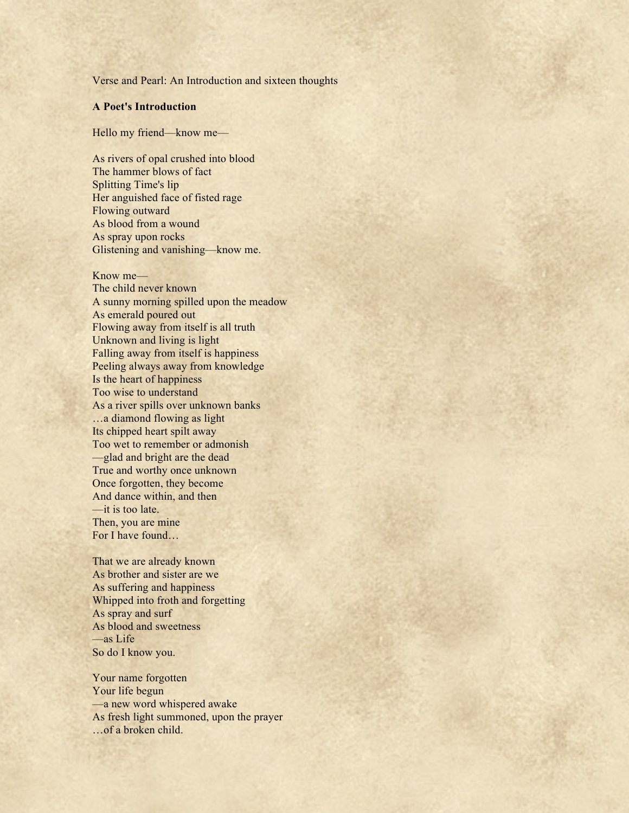Verse and Pearl: An Introduction and sixteen thoughts

## **A Poet's Introduction**

Hello my friend—know me—

As rivers of opal crushed into blood The hammer blows of fact Splitting Time's lip Her anguished face of fisted rage Flowing outward As blood from a wound As spray upon rocks Glistening and vanishing––know me.

Know me–– The child never known A sunny morning spilled upon the meadow As emerald poured out Flowing away from itself is all truth Unknown and living is light Falling away from itself is happiness Peeling always away from knowledge Is the heart of happiness Too wise to understand As a river spills over unknown banks …a diamond flowing as light Its chipped heart spilt away Too wet to remember or admonish ––glad and bright are the dead True and worthy once unknown Once forgotten, they become And dance within, and then ––it is too late. Then, you are mine For I have found…

That we are already known As brother and sister are we As suffering and happiness Whipped into froth and forgetting As spray and surf As blood and sweetness ––as Life So do I know you.

Your name forgotten Your life begun ––a new word whispered awake As fresh light summoned, upon the prayer …of a broken child.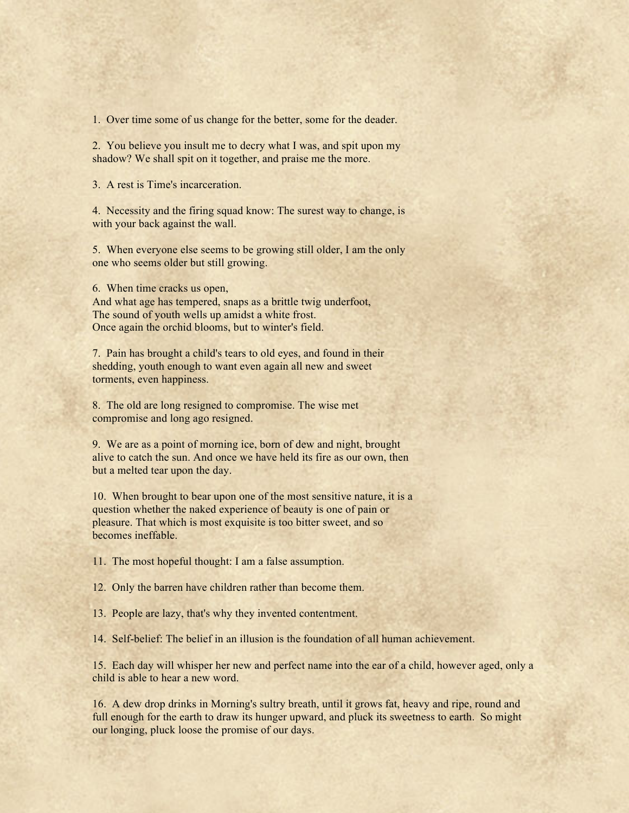1. Over time some of us change for the better, some for the deader.

2. You believe you insult me to decry what I was, and spit upon my shadow? We shall spit on it together, and praise me the more.

3. A rest is Time's incarceration.

4. Necessity and the firing squad know: The surest way to change, is with your back against the wall.

5. When everyone else seems to be growing still older, I am the only one who seems older but still growing.

6. When time cracks us open,

And what age has tempered, snaps as a brittle twig underfoot, The sound of youth wells up amidst a white frost. Once again the orchid blooms, but to winter's field.

7. Pain has brought a child's tears to old eyes, and found in their shedding, youth enough to want even again all new and sweet torments, even happiness.

8. The old are long resigned to compromise. The wise met compromise and long ago resigned.

9. We are as a point of morning ice, born of dew and night, brought alive to catch the sun. And once we have held its fire as our own, then but a melted tear upon the day.

10. When brought to bear upon one of the most sensitive nature, it is a question whether the naked experience of beauty is one of pain or pleasure. That which is most exquisite is too bitter sweet, and so becomes ineffable.

11. The most hopeful thought: I am a false assumption.

12. Only the barren have children rather than become them.

13. People are lazy, that's why they invented contentment.

14. Self-belief: The belief in an illusion is the foundation of all human achievement.

15. Each day will whisper her new and perfect name into the ear of a child, however aged, only a child is able to hear a new word.

16. A dew drop drinks in Morning's sultry breath, until it grows fat, heavy and ripe, round and full enough for the earth to draw its hunger upward, and pluck its sweetness to earth. So might our longing, pluck loose the promise of our days.